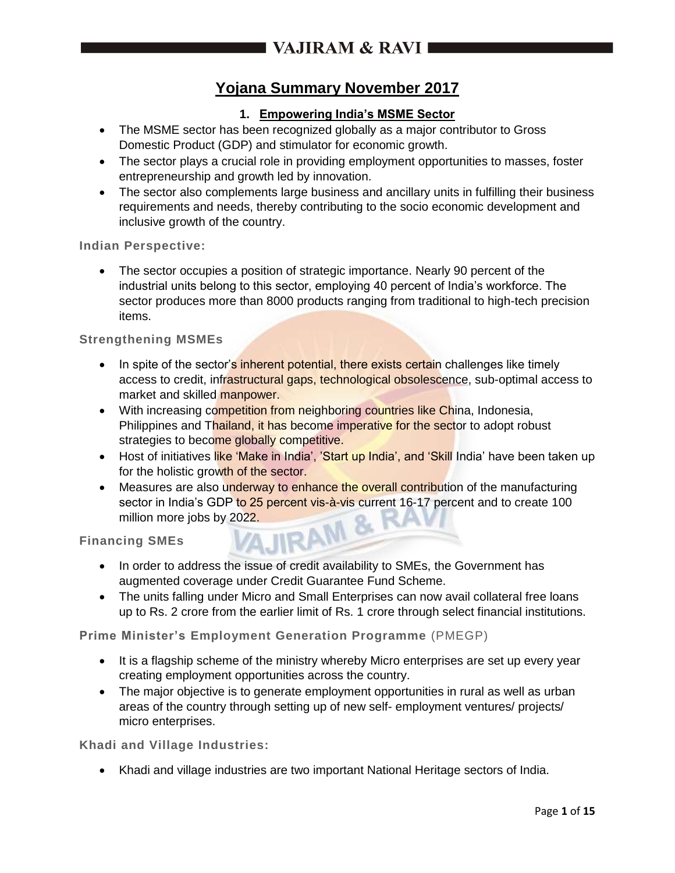## **Yojana Summary November 2017**

## **1. Empowering India's MSME Sector**

- The MSME sector has been recognized globally as a major contributor to Gross Domestic Product (GDP) and stimulator for economic growth.
- The sector plays a crucial role in providing employment opportunities to masses, foster entrepreneurship and growth led by innovation.
- The sector also complements large business and ancillary units in fulfilling their business requirements and needs, thereby contributing to the socio economic development and inclusive growth of the country.

**Indian Perspective:**

 The sector occupies a position of strategic importance. Nearly 90 percent of the industrial units belong to this sector, employing 40 percent of India's workforce. The sector produces more than 8000 products ranging from traditional to high-tech precision items.

**Strengthening MSMEs**

- In spite of the sector's inherent potential, there exists certain challenges like timely access to credit, infrastructural gaps, technological obsolescence, sub-optimal access to market and skilled manpower.
- With increasing competition from neighboring countries like China, Indonesia, Philippines and Thailand, it has become imperative for the sector to adopt robust strategies to become globally competitive.
- Host of initiatives like 'Make in India', 'Start up India', and 'Skill India' have been taken up for the holistic growth of the sector.
- Measures are also underway to enhance the overall contribution of the manufacturing sector in India's GDP to 25 percent vis-à-vis current 16-17 percent and to create 100 million more jobs by 2022.<br>
cing SMEs million more jobs by 2022.

**Financing SMEs**

- In order to address the issue of credit availability to SMEs, the Government has augmented coverage under Credit Guarantee Fund Scheme.
- The units falling under Micro and Small Enterprises can now avail collateral free loans up to Rs. 2 crore from the earlier limit of Rs. 1 crore through select financial institutions.

**Prime Minister's Employment Generation Programme** (PMEGP)

- It is a flagship scheme of the ministry whereby Micro enterprises are set up every year creating employment opportunities across the country.
- The major objective is to generate employment opportunities in rural as well as urban areas of the country through setting up of new self- employment ventures/ projects/ micro enterprises.

**Khadi and Village Industries:**

Khadi and village industries are two important National Heritage sectors of India.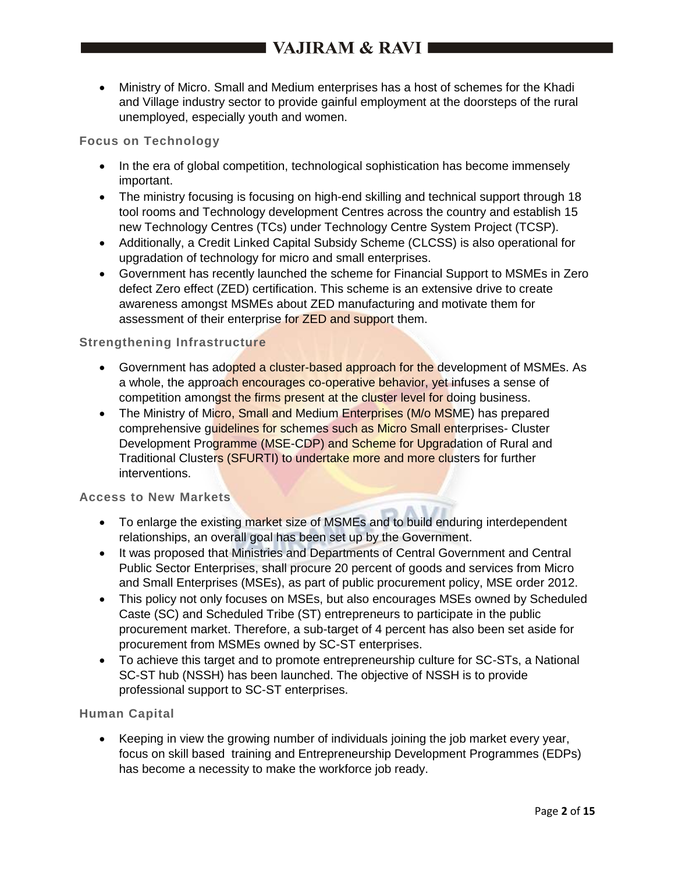Ministry of Micro. Small and Medium enterprises has a host of schemes for the Khadi and Village industry sector to provide gainful employment at the doorsteps of the rural unemployed, especially youth and women.

### **Focus on Technology**

- In the era of global competition, technological sophistication has become immensely important.
- The ministry focusing is focusing on high-end skilling and technical support through 18 tool rooms and Technology development Centres across the country and establish 15 new Technology Centres (TCs) under Technology Centre System Project (TCSP).
- Additionally, a Credit Linked Capital Subsidy Scheme (CLCSS) is also operational for upgradation of technology for micro and small enterprises.
- Government has recently launched the scheme for Financial Support to MSMEs in Zero defect Zero effect (ZED) certification. This scheme is an extensive drive to create awareness amongst MSMEs about ZED manufacturing and motivate them for assessment of their enterprise for **ZED** and support them.

#### **Strengthening Infrastructure**

- Government has adopted a cluster-based approach for the development of MSMEs. As a whole, the approach encourages co-operative behavior, yet infuses a sense of competition amongst the firms present at the cluster level for doing business.
- The Ministry of Micro, Small and Medium Enterprises (M/o MSME) has prepared comprehensive guidelines for schemes such as Micro Small enterprises- Cluster Development Programme (MSE-CDP) and Scheme for Upgradation of Rural and Traditional Clusters (SFURTI) to undertake more and more clusters for further interventions.

#### **Access to New Markets**

- To enlarge the existing market size of MSMEs and to build enduring interdependent relationships, an overall goal has been set up by the Government.
- It was proposed that Ministries and Departments of Central Government and Central Public Sector Enterprises, shall procure 20 percent of goods and services from Micro and Small Enterprises (MSEs), as part of public procurement policy, MSE order 2012.
- This policy not only focuses on MSEs, but also encourages MSEs owned by Scheduled Caste (SC) and Scheduled Tribe (ST) entrepreneurs to participate in the public procurement market. Therefore, a sub-target of 4 percent has also been set aside for procurement from MSMEs owned by SC-ST enterprises.
- To achieve this target and to promote entrepreneurship culture for SC-STs, a National SC-ST hub (NSSH) has been launched. The objective of NSSH is to provide professional support to SC-ST enterprises.

### **Human Capital**

 Keeping in view the growing number of individuals joining the job market every year, focus on skill based training and Entrepreneurship Development Programmes (EDPs) has become a necessity to make the workforce job ready.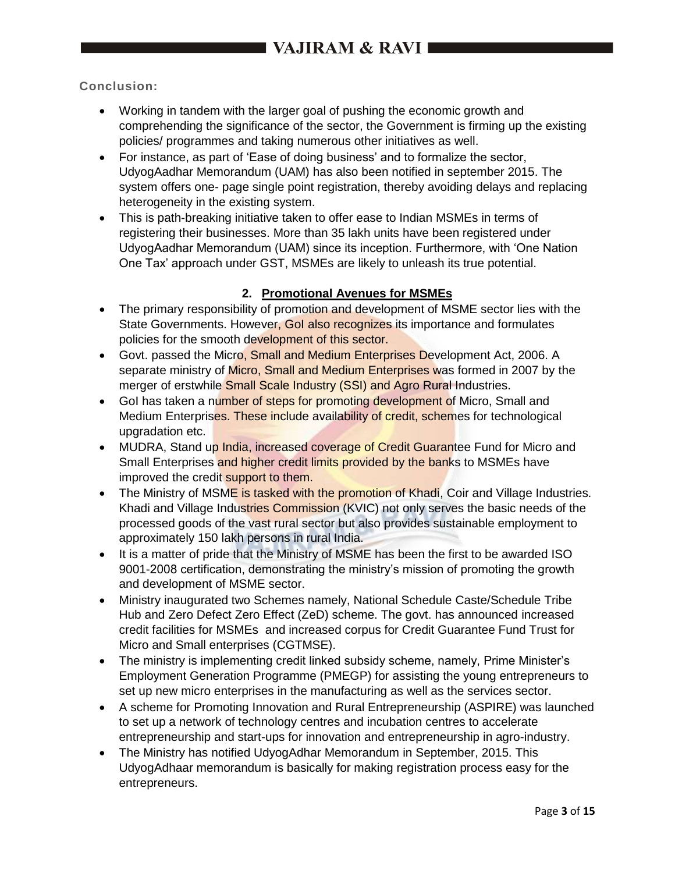## **Conclusion:**

- Working in tandem with the larger goal of pushing the economic growth and comprehending the significance of the sector, the Government is firming up the existing policies/ programmes and taking numerous other initiatives as well.
- For instance, as part of 'Ease of doing business' and to formalize the sector, UdyogAadhar Memorandum (UAM) has also been notified in september 2015. The system offers one- page single point registration, thereby avoiding delays and replacing heterogeneity in the existing system.
- This is path-breaking initiative taken to offer ease to Indian MSMEs in terms of registering their businesses. More than 35 lakh units have been registered under UdyogAadhar Memorandum (UAM) since its inception. Furthermore, with 'One Nation One Tax' approach under GST, MSMEs are likely to unleash its true potential.

## **2. Promotional Avenues for MSMEs**

- The primary responsibility of promotion and development of MSME sector lies with the State Governments. However, Gol also recognizes its importance and formulates policies for the smooth development of this sector.
- Govt. passed the Micro, Small and Medium Enterprises Development Act, 2006. A separate ministry of Micro, Small and Medium Enterprises was formed in 2007 by the merger of erstwhile **Small Scale Industry (SSI) and Agro Rural Industries.**
- Gol has taken a number of steps for promoting development of Micro, Small and Medium Enterprises. These include availability of credit, schemes for technological upgradation etc.
- MUDRA, Stand up *India*, increased coverage of Credit Guarantee Fund for Micro and Small Enterprises and higher credit limits provided by the banks to MSMEs have improved the credit support to them.
- The Ministry of MSME is tasked with the promotion of Khadi, Coir and Village Industries. Khadi and Village Industries Commission (KVIC) not only serves the basic needs of the processed goods of the vast rural sector but also provides sustainable employment to approximately 150 lakh persons in rural India.
- It is a matter of pride that the Ministry of MSME has been the first to be awarded ISO 9001-2008 certification, demonstrating the ministry's mission of promoting the growth and development of MSME sector.
- Ministry inaugurated two Schemes namely, National Schedule Caste/Schedule Tribe Hub and Zero Defect Zero Effect (ZeD) scheme. The govt. has announced increased credit facilities for MSMEs and increased corpus for Credit Guarantee Fund Trust for Micro and Small enterprises (CGTMSE).
- The ministry is implementing credit linked subsidy scheme, namely, Prime Minister's Employment Generation Programme (PMEGP) for assisting the young entrepreneurs to set up new micro enterprises in the manufacturing as well as the services sector.
- A scheme for Promoting Innovation and Rural Entrepreneurship (ASPIRE) was launched to set up a network of technology centres and incubation centres to accelerate entrepreneurship and start-ups for innovation and entrepreneurship in agro-industry.
- The Ministry has notified UdyogAdhar Memorandum in September, 2015. This UdyogAdhaar memorandum is basically for making registration process easy for the entrepreneurs.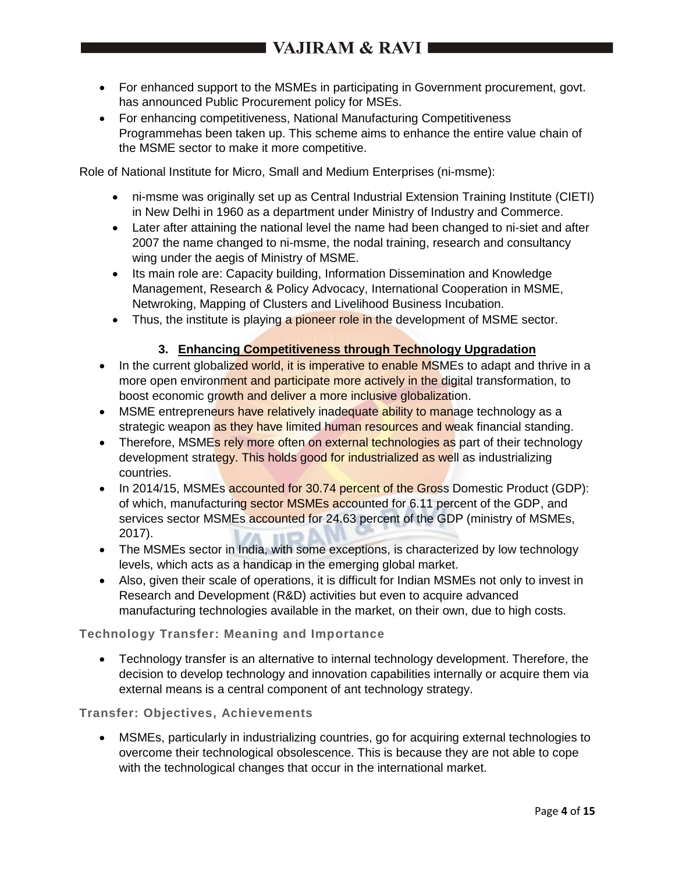- For enhanced support to the MSMEs in participating in Government procurement, govt. has announced Public Procurement policy for MSEs.
- For enhancing competitiveness, National Manufacturing Competitiveness Programmehas been taken up. This scheme aims to enhance the entire value chain of the MSME sector to make it more competitive.

Role of National Institute for Micro, Small and Medium Enterprises (ni-msme):

- ni-msme was originally set up as Central Industrial Extension Training Institute (CIETI) in New Delhi in 1960 as a department under Ministry of Industry and Commerce.
- Later after attaining the national level the name had been changed to ni-siet and after 2007 the name changed to ni-msme, the nodal training, research and consultancy wing under the aegis of Ministry of MSME.
- Its main role are: Capacity building, Information Dissemination and Knowledge Management, Research & Policy Advocacy, International Cooperation in MSME, Netwroking, Mapping of Clusters and Livelihood Business Incubation.
- Thus, the institute is playing a pioneer role in the development of MSME sector.

### **3. Enhancing Competitiveness through Technology Upgradation**

- In the current globalized world, it is imperative to enable MSMEs to adapt and thrive in a more open environment and participate more actively in the digital transformation, to boost economic growth and deliver a more inclusive globalization.
- MSME entrepreneurs have relatively inadequate ability to manage technology as a strategic weapon as they have limited human resources and weak financial standing.
- Therefore, MSMEs rely more often on external technologies as part of their technology development strategy. This holds good for industrialized as well as industrializing countries.
- In 2014/15, MSMEs accounted for 30.74 percent of the Gross Domestic Product (GDP): of which, manufacturing sector MSMEs accounted for 6.11 percent of the GDP, and services sector MSMEs accounted for 24.63 percent of the GDP (ministry of MSMEs, 2017).
- The MSMEs sector in India, with some exceptions, is characterized by low technology levels, which acts as a handicap in the emerging global market.
- Also, given their scale of operations, it is difficult for Indian MSMEs not only to invest in Research and Development (R&D) activities but even to acquire advanced manufacturing technologies available in the market, on their own, due to high costs.

### **Technology Transfer: Meaning and Importance**

 Technology transfer is an alternative to internal technology development. Therefore, the decision to develop technology and innovation capabilities internally or acquire them via external means is a central component of ant technology strategy.

### **Transfer: Objectives, Achievements**

 MSMEs, particularly in industrializing countries, go for acquiring external technologies to overcome their technological obsolescence. This is because they are not able to cope with the technological changes that occur in the international market.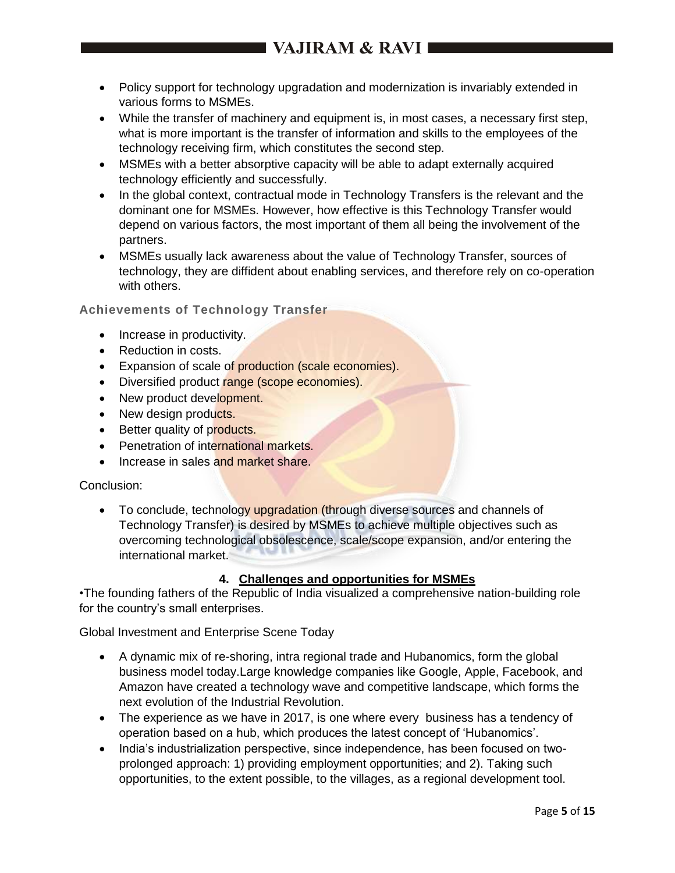- Policy support for technology upgradation and modernization is invariably extended in various forms to MSMEs.
- While the transfer of machinery and equipment is, in most cases, a necessary first step, what is more important is the transfer of information and skills to the employees of the technology receiving firm, which constitutes the second step.
- MSMEs with a better absorptive capacity will be able to adapt externally acquired technology efficiently and successfully.
- In the global context, contractual mode in Technology Transfers is the relevant and the dominant one for MSMEs. However, how effective is this Technology Transfer would depend on various factors, the most important of them all being the involvement of the partners.
- MSMEs usually lack awareness about the value of Technology Transfer, sources of technology, they are diffident about enabling services, and therefore rely on co-operation with others.

### **Achievements of Technology Transfer**

- Increase in productivity.
- Reduction in costs.
- **Expansion of scale of production (scale economies).**
- Diversified product range (scope economies).
- New product development.
- New design products.
- Better quality of products.
- Penetration of international markets.
- Increase in sales and market share.

### Conclusion:

• To conclude, technology upgradation (through diverse sources and channels of Technology Transfer) is desired by MSMEs to achieve multiple objectives such as overcoming technological obsolescence, scale/scope expansion, and/or entering the international market.

## **4. Challenges and opportunities for MSMEs**

•The founding fathers of the Republic of India visualized a comprehensive nation-building role for the country's small enterprises.

Global Investment and Enterprise Scene Today

- A dynamic mix of re-shoring, intra regional trade and Hubanomics, form the global business model today.Large knowledge companies like Google, Apple, Facebook, and Amazon have created a technology wave and competitive landscape, which forms the next evolution of the Industrial Revolution.
- The experience as we have in 2017, is one where every business has a tendency of operation based on a hub, which produces the latest concept of 'Hubanomics'.
- India's industrialization perspective, since independence, has been focused on twoprolonged approach: 1) providing employment opportunities; and 2). Taking such opportunities, to the extent possible, to the villages, as a regional development tool.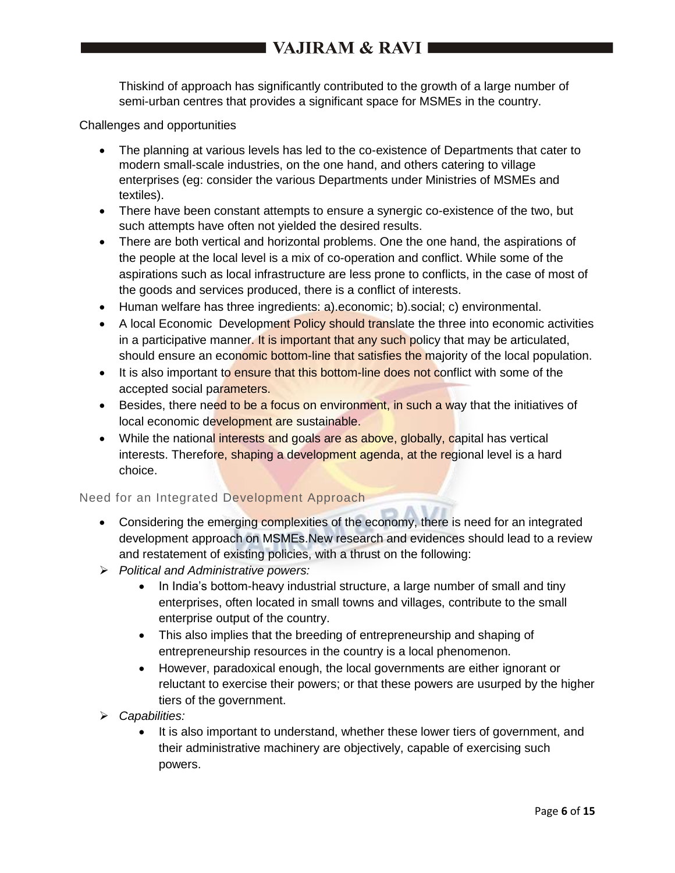# I VAJIRAM & RAVI ■

Thiskind of approach has significantly contributed to the growth of a large number of semi-urban centres that provides a significant space for MSMEs in the country.

Challenges and opportunities

- The planning at various levels has led to the co-existence of Departments that cater to modern small-scale industries, on the one hand, and others catering to village enterprises (eg: consider the various Departments under Ministries of MSMEs and textiles).
- There have been constant attempts to ensure a synergic co-existence of the two, but such attempts have often not yielded the desired results.
- There are both vertical and horizontal problems. One the one hand, the aspirations of the people at the local level is a mix of co-operation and conflict. While some of the aspirations such as local infrastructure are less prone to conflicts, in the case of most of the goods and services produced, there is a conflict of interests.
- Human welfare has three ingredients: a).economic; b).social; c) environmental.
- A local Economic Development Policy should translate the three into economic activities in a participative manner. It is important that any such policy that may be articulated, should ensure an economic bottom-line that satisfies the majority of the local population.
- It is also important to ensure that this bottom-line does not conflict with some of the accepted social parameters.
- Besides, there need to be a focus on environment, in such a way that the initiatives of local economic development are sustainable.
- While the national interests and goals are as above, globally, capital has vertical interests. Therefore, shaping a development agenda, at the regional level is a hard choice.

#### Need for an Integrated Development Approach

- Considering the emerging complexities of the economy, there is need for an integrated development approach on MSMEs.New research and evidences should lead to a review and restatement of existing policies, with a thrust on the following:
- *Political and Administrative powers:*
	- In India's bottom-heavy industrial structure, a large number of small and tiny enterprises, often located in small towns and villages, contribute to the small enterprise output of the country.
	- This also implies that the breeding of entrepreneurship and shaping of entrepreneurship resources in the country is a local phenomenon.
	- However, paradoxical enough, the local governments are either ignorant or reluctant to exercise their powers; or that these powers are usurped by the higher tiers of the government.
- *Capabilities:*
	- It is also important to understand, whether these lower tiers of government, and their administrative machinery are objectively, capable of exercising such powers.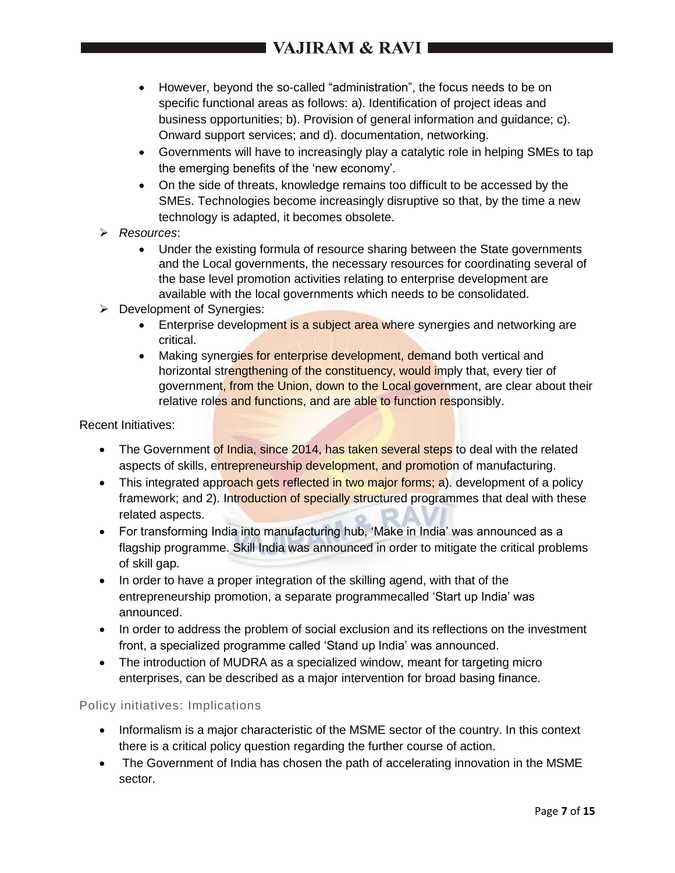- However, beyond the so-called "administration", the focus needs to be on specific functional areas as follows: a). Identification of project ideas and business opportunities; b). Provision of general information and guidance; c). Onward support services; and d). documentation, networking.
- Governments will have to increasingly play a catalytic role in helping SMEs to tap the emerging benefits of the 'new economy'.
- On the side of threats, knowledge remains too difficult to be accessed by the SMEs. Technologies become increasingly disruptive so that, by the time a new technology is adapted, it becomes obsolete.
- *Resources*:
	- Under the existing formula of resource sharing between the State governments and the Local governments, the necessary resources for coordinating several of the base level promotion activities relating to enterprise development are available with the local governments which needs to be consolidated.
- **Development of Synergies:** 
	- **Enterprise development is a subject area where synergies and networking are** critical.
	- Making synergies for enterprise development, demand both vertical and horizontal strengthening of the constituency, would imply that, every tier of government, from the Union, down to the Local government, are clear about their relative roles and functions, and are able to function responsibly.

### Recent Initiatives:

- The Government of India, since 2014, has taken several steps to deal with the related aspects of skills, entrepreneurship development, and promotion of manufacturing.
- This integrated approach gets reflected in two major forms; a). development of a policy framework; and 2). Introduction of specially structured programmes that deal with these related aspects.
- For transforming India into manufacturing hub, 'Make in India' was announced as a flagship programme. Skill India was announced in order to mitigate the critical problems of skill gap.
- In order to have a proper integration of the skilling agend, with that of the entrepreneurship promotion, a separate programmecalled 'Start up India' was announced.
- In order to address the problem of social exclusion and its reflections on the investment front, a specialized programme called 'Stand up India' was announced.
- The introduction of MUDRA as a specialized window, meant for targeting micro enterprises, can be described as a major intervention for broad basing finance.

### Policy initiatives: Implications

- Informalism is a major characteristic of the MSME sector of the country. In this context there is a critical policy question regarding the further course of action.
- The Government of India has chosen the path of accelerating innovation in the MSME sector.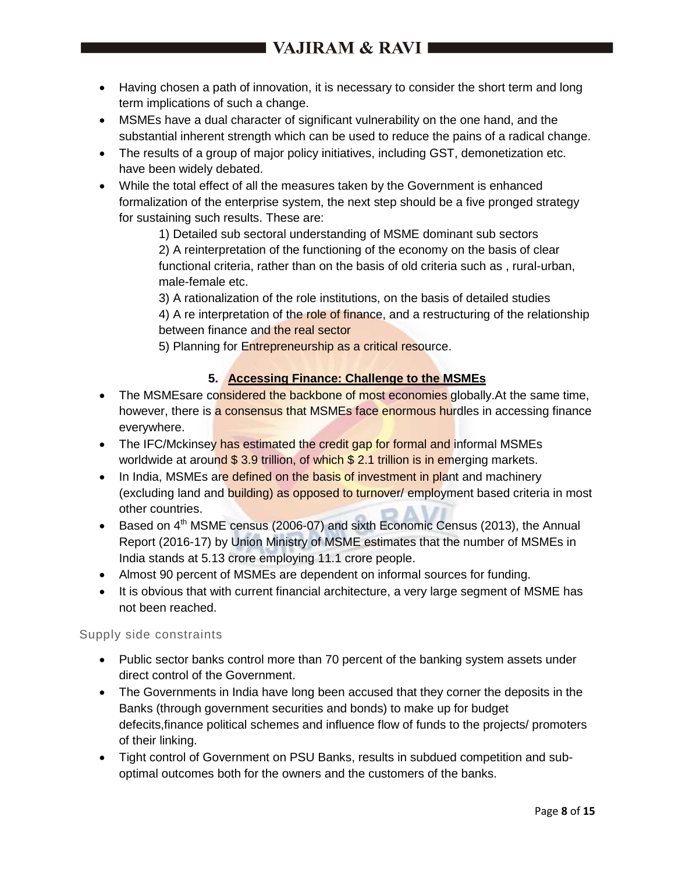- Having chosen a path of innovation, it is necessary to consider the short term and long term implications of such a change.
- MSMEs have a dual character of significant vulnerability on the one hand, and the substantial inherent strength which can be used to reduce the pains of a radical change.
- The results of a group of major policy initiatives, including GST, demonetization etc. have been widely debated.
- While the total effect of all the measures taken by the Government is enhanced formalization of the enterprise system, the next step should be a five pronged strategy for sustaining such results. These are:
	- 1) Detailed sub sectoral understanding of MSME dominant sub sectors

2) A reinterpretation of the functioning of the economy on the basis of clear functional criteria, rather than on the basis of old criteria such as , rural-urban, male-female etc.

3) A rationalization of the role institutions, on the basis of detailed studies 4) A re interpretation of the role of finance, and a restructuring of the relationship between finance and the real sector

5) Planning for Entrepreneurship as a critical resource.

## **5. Accessing Finance: Challenge to the MSMEs**

- The MSMEsare considered the backbone of most economies globally. At the same time, however, there is a consensus that MSMEs face enormous hurdles in accessing finance everywhere.
- The IFC/Mckinsey has estimated the credit gap for formal and informal MSMEs worldwide at around \$3.9 trillion, of which \$2.1 trillion is in emerging markets.
- In India, MSMEs are defined on the basis of investment in plant and machinery (excluding land and building) as opposed to turnover/ employment based criteria in most other countries.
- Based on  $4<sup>th</sup>$  MSME census (2006-07) and sixth Economic Census (2013), the Annual Report (2016-17) by Union Ministry of MSME estimates that the number of MSMEs in India stands at 5.13 crore employing 11.1 crore people.
- Almost 90 percent of MSMEs are dependent on informal sources for funding.
- It is obvious that with current financial architecture, a very large segment of MSME has not been reached.

### Supply side constraints

- Public sector banks control more than 70 percent of the banking system assets under direct control of the Government.
- The Governments in India have long been accused that they corner the deposits in the Banks (through government securities and bonds) to make up for budget defecits,finance political schemes and influence flow of funds to the projects/ promoters of their linking.
- Tight control of Government on PSU Banks, results in subdued competition and suboptimal outcomes both for the owners and the customers of the banks.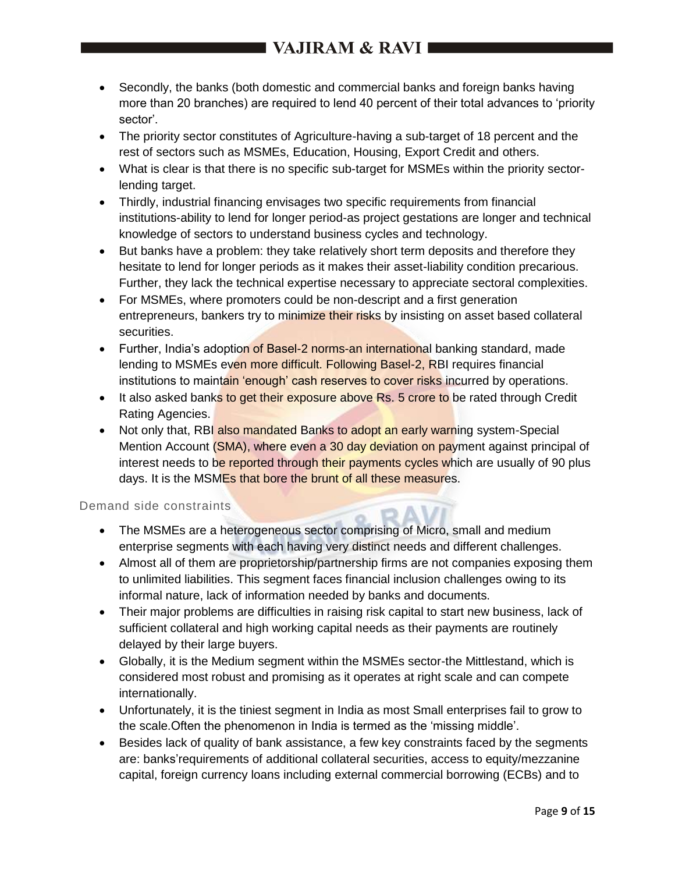# I VAJIRAM & RAVI 1

- Secondly, the banks (both domestic and commercial banks and foreign banks having more than 20 branches) are required to lend 40 percent of their total advances to 'priority sector'.
- The priority sector constitutes of Agriculture-having a sub-target of 18 percent and the rest of sectors such as MSMEs, Education, Housing, Export Credit and others.
- What is clear is that there is no specific sub-target for MSMEs within the priority sectorlending target.
- Thirdly, industrial financing envisages two specific requirements from financial institutions-ability to lend for longer period-as project gestations are longer and technical knowledge of sectors to understand business cycles and technology.
- But banks have a problem: they take relatively short term deposits and therefore they hesitate to lend for longer periods as it makes their asset-liability condition precarious. Further, they lack the technical expertise necessary to appreciate sectoral complexities.
- For MSMEs, where promoters could be non-descript and a first generation entrepreneurs, bankers try to minimize their risks by insisting on asset based collateral securities.
- Further, India's adoption of Basel-2 norms-an international banking standard, made lending to MSMEs even more difficult. Following Basel-2, RBI requires financial institutions to maintain 'enough' cash reserves to cover risks incurred by operations.
- It also asked banks to get their exposure above Rs. 5 crore to be rated through Credit Rating Agencies.
- Not only that, RBI also mandated Banks to adopt an early warning system-Special Mention Account (SMA), where even a 30 day deviation on payment against principal of interest needs to be reported through their payments cycles which are usually of 90 plus days. It is the MSMEs that bore the brunt of all these measures.

## Demand side constraints

- The MSMEs are a heterogeneous sector comprising of Micro, small and medium enterprise segments with each having very distinct needs and different challenges.
- Almost all of them are proprietorship/partnership firms are not companies exposing them to unlimited liabilities. This segment faces financial inclusion challenges owing to its informal nature, lack of information needed by banks and documents.
- Their major problems are difficulties in raising risk capital to start new business, lack of sufficient collateral and high working capital needs as their payments are routinely delayed by their large buyers.
- Globally, it is the Medium segment within the MSMEs sector-the Mittlestand, which is considered most robust and promising as it operates at right scale and can compete internationally.
- Unfortunately, it is the tiniest segment in India as most Small enterprises fail to grow to the scale.Often the phenomenon in India is termed as the 'missing middle'.
- Besides lack of quality of bank assistance, a few key constraints faced by the segments are: banks'requirements of additional collateral securities, access to equity/mezzanine capital, foreign currency loans including external commercial borrowing (ECBs) and to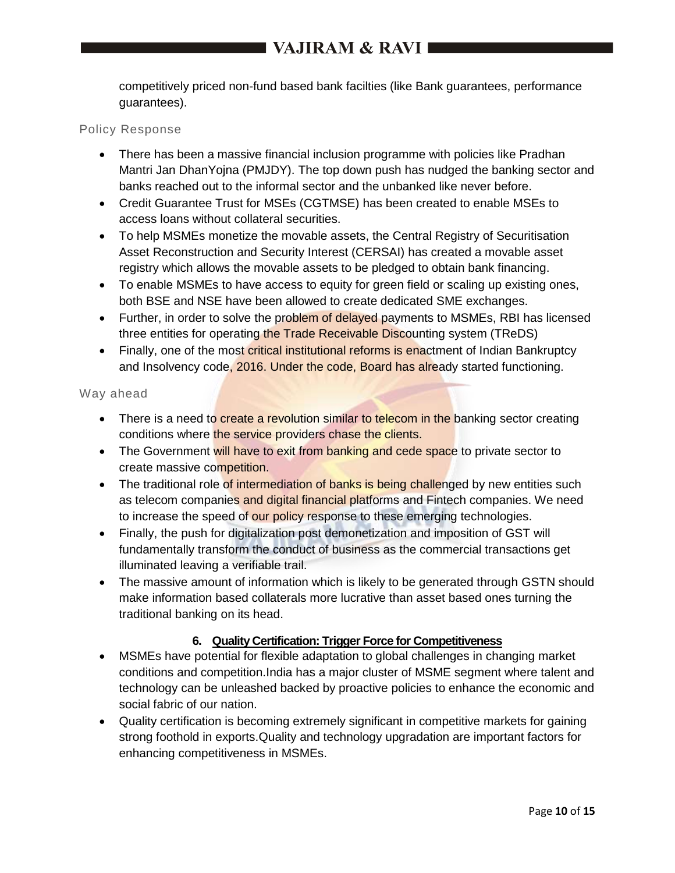competitively priced non-fund based bank facilties (like Bank guarantees, performance guarantees).

#### Policy Response

- There has been a massive financial inclusion programme with policies like Pradhan Mantri Jan DhanYojna (PMJDY). The top down push has nudged the banking sector and banks reached out to the informal sector and the unbanked like never before.
- Credit Guarantee Trust for MSEs (CGTMSE) has been created to enable MSEs to access loans without collateral securities.
- To help MSMEs monetize the movable assets, the Central Registry of Securitisation Asset Reconstruction and Security Interest (CERSAI) has created a movable asset registry which allows the movable assets to be pledged to obtain bank financing.
- To enable MSMEs to have access to equity for green field or scaling up existing ones, both BSE and NSE have been allowed to create dedicated SME exchanges.
- Further, in order to solve the problem of delayed payments to MSMEs, RBI has licensed three entities for operating the Trade Receivable Discounting system (TReDS)
- Finally, one of the most critical institutional reforms is enactment of Indian Bankruptcy and Insolvency code, 2016. Under the code, Board has already started functioning.

### Way ahead

- There is a need to create a revolution similar to telecom in the banking sector creating conditions where the service providers chase the clients.
- The Government will have to exit from banking and cede space to private sector to create massive competition.
- The traditional role of intermediation of banks is being challenged by new entities such as telecom companies and digital financial platforms and Fintech companies. We need to increase the speed of our policy response to these emerging technologies.
- Finally, the push for digitalization post demonetization and imposition of GST will fundamentally transform the conduct of business as the commercial transactions get illuminated leaving a verifiable trail.
- The massive amount of information which is likely to be generated through GSTN should make information based collaterals more lucrative than asset based ones turning the traditional banking on its head.

### **6. Quality Certification: Trigger Force for Competitiveness**

- MSMEs have potential for flexible adaptation to global challenges in changing market conditions and competition.India has a major cluster of MSME segment where talent and technology can be unleashed backed by proactive policies to enhance the economic and social fabric of our nation.
- Quality certification is becoming extremely significant in competitive markets for gaining strong foothold in exports.Quality and technology upgradation are important factors for enhancing competitiveness in MSMEs.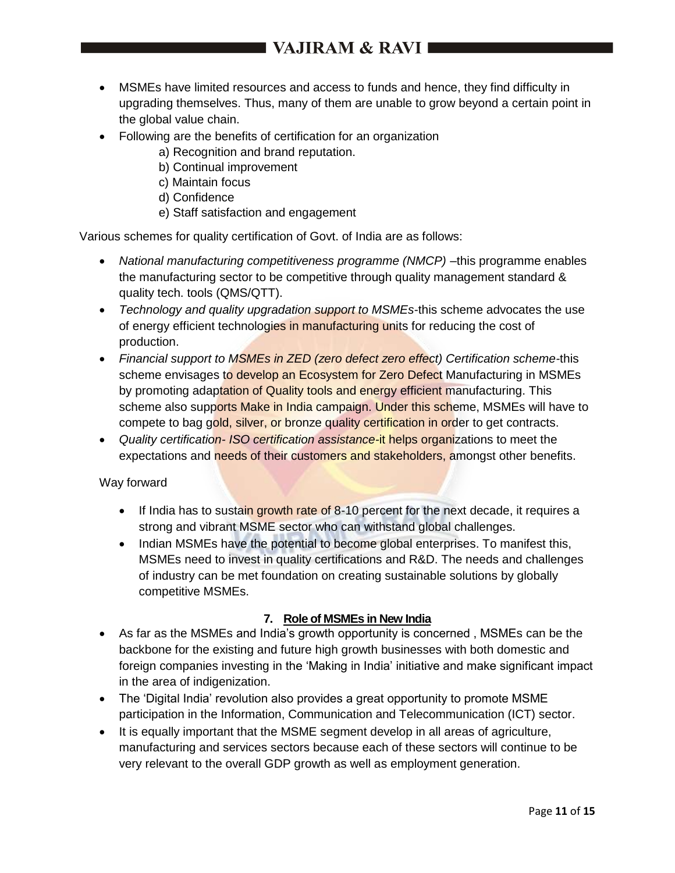- MSMEs have limited resources and access to funds and hence, they find difficulty in upgrading themselves. Thus, many of them are unable to grow beyond a certain point in the global value chain.
- Following are the benefits of certification for an organization
	- a) Recognition and brand reputation.
	- b) Continual improvement
	- c) Maintain focus
	- d) Confidence
	- e) Staff satisfaction and engagement

Various schemes for quality certification of Govt. of India are as follows:

- National manufacturing competitiveness programme (NMCP) this programme enables the manufacturing sector to be competitive through quality management standard & quality tech. tools (QMS/QTT).
- *Technology and quality upgradation support to MSMEs-*this scheme advocates the use of energy efficient technologies in manufacturing units for reducing the cost of production.
- *Financial support to MSMEs in ZED (zero defect zero effect) Certification scheme-*this scheme envisages to develop an Ecosystem for Zero Defect Manufacturing in MSMEs by promoting adaptation of Quality tools and energy efficient manufacturing. This scheme also supports Make in India campaign. Under this scheme, MSMEs will have to compete to bag gold, silver, or bronze quality certification in order to get contracts.
- *Quality certification- ISO certification assistance-*it helps organizations to meet the expectations and needs of their customers and stakeholders, amongst other benefits.

### Way forward

- If India has to sustain growth rate of 8-10 percent for the next decade, it requires a strong and vibrant MSME sector who can withstand global challenges.
- Indian MSMEs have the potential to become global enterprises. To manifest this, MSMEs need to invest in quality certifications and R&D. The needs and challenges of industry can be met foundation on creating sustainable solutions by globally competitive MSMEs.

### **7. Role of MSMEs in New India**

- As far as the MSMEs and India's growth opportunity is concerned , MSMEs can be the backbone for the existing and future high growth businesses with both domestic and foreign companies investing in the 'Making in India' initiative and make significant impact in the area of indigenization.
- The 'Digital India' revolution also provides a great opportunity to promote MSME participation in the Information, Communication and Telecommunication (ICT) sector.
- It is equally important that the MSME segment develop in all areas of agriculture, manufacturing and services sectors because each of these sectors will continue to be very relevant to the overall GDP growth as well as employment generation.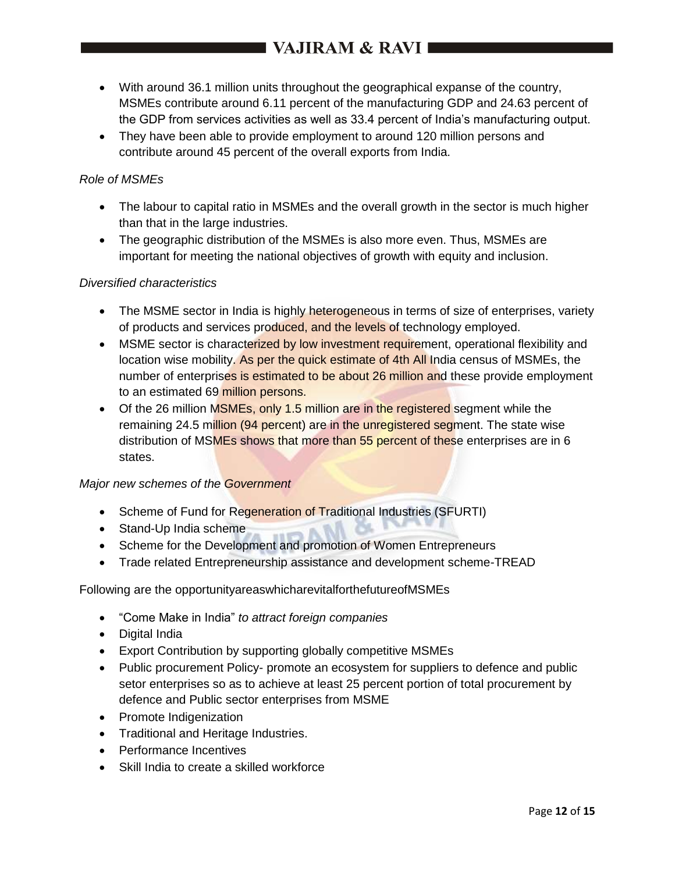- With around 36.1 million units throughout the geographical expanse of the country, MSMEs contribute around 6.11 percent of the manufacturing GDP and 24.63 percent of the GDP from services activities as well as 33.4 percent of India's manufacturing output.
- They have been able to provide employment to around 120 million persons and contribute around 45 percent of the overall exports from India.

### *Role of MSMEs*

- The labour to capital ratio in MSMEs and the overall growth in the sector is much higher than that in the large industries.
- The geographic distribution of the MSMEs is also more even. Thus, MSMEs are important for meeting the national objectives of growth with equity and inclusion.

### *Diversified characteristics*

- The MSME sector in India is highly heterogeneous in terms of size of enterprises, variety of products and services produced, and the levels of technology employed.
- MSME sector is characterized by low investment requirement, operational flexibility and location wise mobility. As per the quick estimate of 4th All India census of MSMEs, the number of enterprises is estimated to be about 26 million and these provide employment to an estimated 69 million persons.
- Of the 26 million MSMEs, only 1.5 million are in the registered segment while the remaining 24.5 million (94 percent) are in the unregistered segment. The state wise distribution of MSMEs shows that more than 55 percent of these enterprises are in 6 states.

### *Major new schemes of the Government*

- Scheme of Fund for Regeneration of Traditional Industries (SFURTI)
- Stand-Up India scheme
- Scheme for the Development and promotion of Women Entrepreneurs
- Trade related Entrepreneurship assistance and development scheme-TREAD

#### Following are the opportunityareaswhicharevitalforthefutureofMSMEs

- "Come Make in India" *to attract foreign companies*
- Digital India
- Export Contribution by supporting globally competitive MSMEs
- Public procurement Policy- promote an ecosystem for suppliers to defence and public setor enterprises so as to achieve at least 25 percent portion of total procurement by defence and Public sector enterprises from MSME
- Promote Indigenization
- Traditional and Heritage Industries.
- Performance Incentives
- Skill India to create a skilled workforce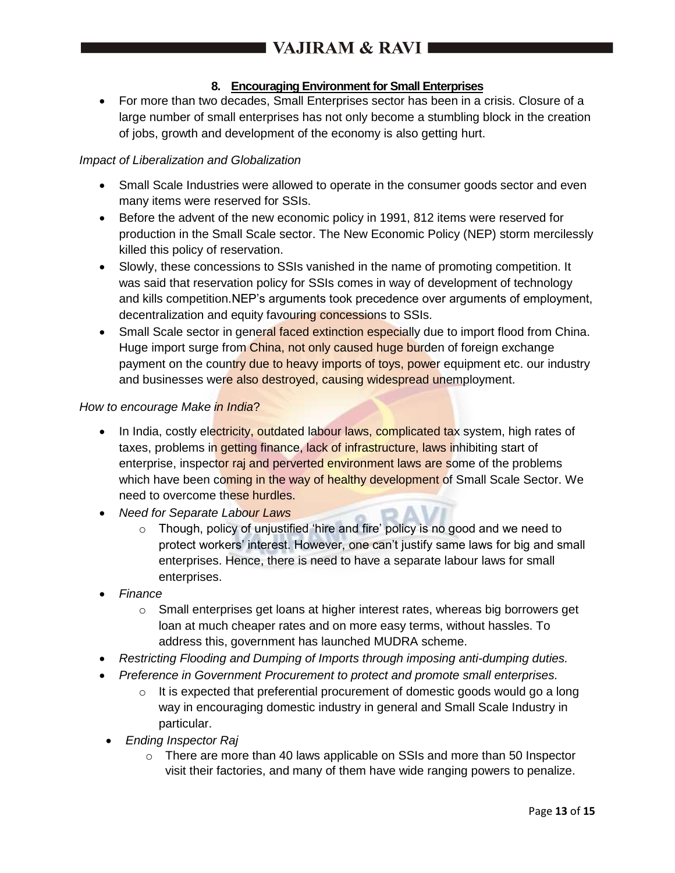## **8. Encouraging Environment for Small Enterprises**

 For more than two decades, Small Enterprises sector has been in a crisis. Closure of a large number of small enterprises has not only become a stumbling block in the creation of jobs, growth and development of the economy is also getting hurt.

## *Impact of Liberalization and Globalization*

- Small Scale Industries were allowed to operate in the consumer goods sector and even many items were reserved for SSIs.
- Before the advent of the new economic policy in 1991, 812 items were reserved for production in the Small Scale sector. The New Economic Policy (NEP) storm mercilessly killed this policy of reservation.
- Slowly, these concessions to SSIs vanished in the name of promoting competition. It was said that reservation policy for SSIs comes in way of development of technology and kills competition.NEP's arguments took precedence over arguments of employment, decentralization and equity favouring concessions to SSIs.
- Small Scale sector in general faced extinction especially due to import flood from China. Huge import surge from China, not only caused huge burden of foreign exchange payment on the country due to heavy imports of toys, power equipment etc. our industry and businesses were also destroyed, causing widespread unemployment.

### *How to encourage Make in India*?

- In India, costly electricity, outdated labour laws, complicated tax system, high rates of taxes, problems in getting finance, lack of infrastructure, laws inhibiting start of enterprise, inspector raj and perverted environment laws are some of the problems which have been coming in the way of healthy development of Small Scale Sector. We need to overcome these hurdles.
- *Need for Separate Labour Laws*
	- o Though, policy of unjustified 'hire and fire' policy is no good and we need to protect workers' interest. However, one can't justify same laws for big and small enterprises. Hence, there is need to have a separate labour laws for small enterprises.
- *Finance*
	- $\circ$  Small enterprises get loans at higher interest rates, whereas big borrowers get loan at much cheaper rates and on more easy terms, without hassles. To address this, government has launched MUDRA scheme.
- *Restricting Flooding and Dumping of Imports through imposing anti-dumping duties.*
- *Preference in Government Procurement to protect and promote small enterprises.*
	- $\circ$  It is expected that preferential procurement of domestic goods would go a long way in encouraging domestic industry in general and Small Scale Industry in particular.
- *Ending Inspector Raj*
	- $\circ$  There are more than 40 laws applicable on SSIs and more than 50 Inspector visit their factories, and many of them have wide ranging powers to penalize.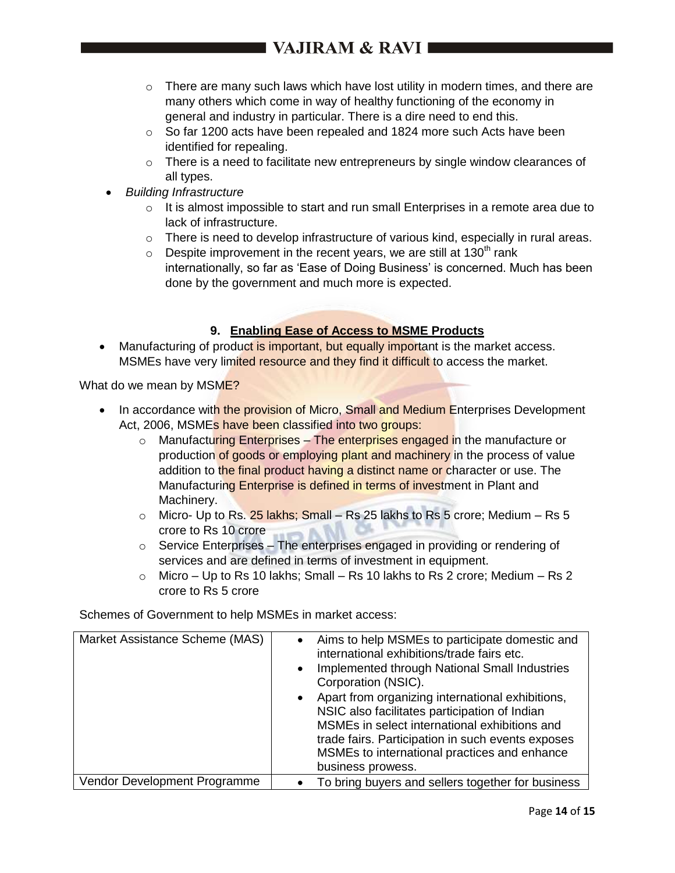# I VAJIRAM & RAVI I

- $\circ$  There are many such laws which have lost utility in modern times, and there are many others which come in way of healthy functioning of the economy in general and industry in particular. There is a dire need to end this.
- $\circ$  So far 1200 acts have been repealed and 1824 more such Acts have been identified for repealing.
- $\circ$  There is a need to facilitate new entrepreneurs by single window clearances of all types.
- *Building Infrastructure*
	- $\circ$  It is almost impossible to start and run small Enterprises in a remote area due to lack of infrastructure.
	- $\circ$  There is need to develop infrastructure of various kind, especially in rural areas.
	- $\circ$  Despite improvement in the recent years, we are still at 130<sup>th</sup> rank internationally, so far as 'Ease of Doing Business' is concerned. Much has been done by the government and much more is expected.

## **9. Enabling Ease of Access to MSME Products**

• Manufacturing of product is important, but equally important is the market access. MSMEs have very limited resource and they find it difficult to access the market.

What do we mean by MSME?

- In accordance with the provision of Micro, Small and Medium Enterprises Development Act, 2006, MSME<sub>s</sub> have been classified into two groups:
	- $\circ$  Manufacturing Enterprises The enterprises engaged in the manufacture or production of goods or employing plant and machinery in the process of value addition to the final product having a distinct name or character or use. The Manufacturing Enterprise is defined in terms of investment in Plant and Machinery.
	- $\circ$  Micro- Up to Rs. 25 lakhs; Small Rs 25 lakhs to Rs 5 crore; Medium Rs 5 crore to Rs 10 crore
	- o Service Enterprises The enterprises engaged in providing or rendering of services and are defined in terms of investment in equipment.
	- $\circ$  Micro Up to Rs 10 lakhs; Small Rs 10 lakhs to Rs 2 crore; Medium Rs 2 crore to Rs 5 crore

Schemes of Government to help MSMEs in market access:

| Market Assistance Scheme (MAS) | Aims to help MSMEs to participate domestic and<br>$\bullet$<br>international exhibitions/trade fairs etc.<br>Implemented through National Small Industries<br>$\bullet$<br>Corporation (NSIC).<br>Apart from organizing international exhibitions,<br>$\bullet$<br>NSIC also facilitates participation of Indian<br>MSMEs in select international exhibitions and<br>trade fairs. Participation in such events exposes<br>MSMEs to international practices and enhance<br>business prowess. |
|--------------------------------|---------------------------------------------------------------------------------------------------------------------------------------------------------------------------------------------------------------------------------------------------------------------------------------------------------------------------------------------------------------------------------------------------------------------------------------------------------------------------------------------|
| Vendor Development Programme   | To bring buyers and sellers together for business                                                                                                                                                                                                                                                                                                                                                                                                                                           |